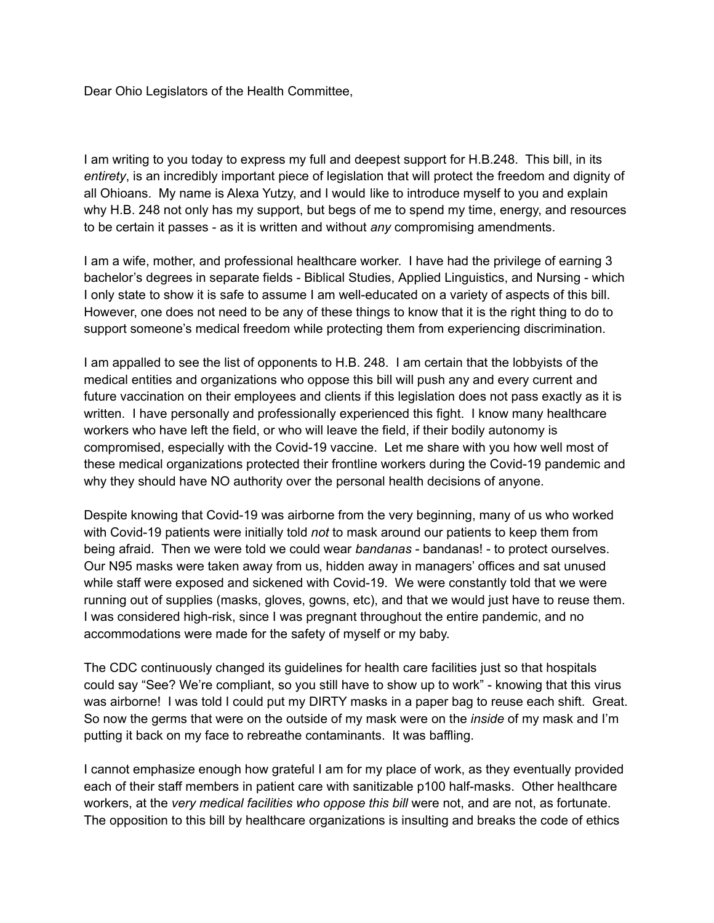Dear Ohio Legislators of the Health Committee,

I am writing to you today to express my full and deepest support for H.B.248. This bill, in its *entirety*, is an incredibly important piece of legislation that will protect the freedom and dignity of all Ohioans. My name is Alexa Yutzy, and I would like to introduce myself to you and explain why H.B. 248 not only has my support, but begs of me to spend my time, energy, and resources to be certain it passes - as it is written and without *any* compromising amendments.

I am a wife, mother, and professional healthcare worker. I have had the privilege of earning 3 bachelor's degrees in separate fields - Biblical Studies, Applied Linguistics, and Nursing - which I only state to show it is safe to assume I am well-educated on a variety of aspects of this bill. However, one does not need to be any of these things to know that it is the right thing to do to support someone's medical freedom while protecting them from experiencing discrimination.

I am appalled to see the list of opponents to H.B. 248. I am certain that the lobbyists of the medical entities and organizations who oppose this bill will push any and every current and future vaccination on their employees and clients if this legislation does not pass exactly as it is written. I have personally and professionally experienced this fight. I know many healthcare workers who have left the field, or who will leave the field, if their bodily autonomy is compromised, especially with the Covid-19 vaccine. Let me share with you how well most of these medical organizations protected their frontline workers during the Covid-19 pandemic and why they should have NO authority over the personal health decisions of anyone.

Despite knowing that Covid-19 was airborne from the very beginning, many of us who worked with Covid-19 patients were initially told *not* to mask around our patients to keep them from being afraid. Then we were told we could wear *bandanas* - bandanas! - to protect ourselves. Our N95 masks were taken away from us, hidden away in managers' offices and sat unused while staff were exposed and sickened with Covid-19. We were constantly told that we were running out of supplies (masks, gloves, gowns, etc), and that we would just have to reuse them. I was considered high-risk, since I was pregnant throughout the entire pandemic, and no accommodations were made for the safety of myself or my baby.

The CDC continuously changed its guidelines for health care facilities just so that hospitals could say "See? We're compliant, so you still have to show up to work" - knowing that this virus was airborne! I was told I could put my DIRTY masks in a paper bag to reuse each shift. Great. So now the germs that were on the outside of my mask were on the *inside* of my mask and I'm putting it back on my face to rebreathe contaminants. It was baffling.

I cannot emphasize enough how grateful I am for my place of work, as they eventually provided each of their staff members in patient care with sanitizable p100 half-masks. Other healthcare workers, at the *very medical facilities who oppose this bill* were not, and are not, as fortunate. The opposition to this bill by healthcare organizations is insulting and breaks the code of ethics